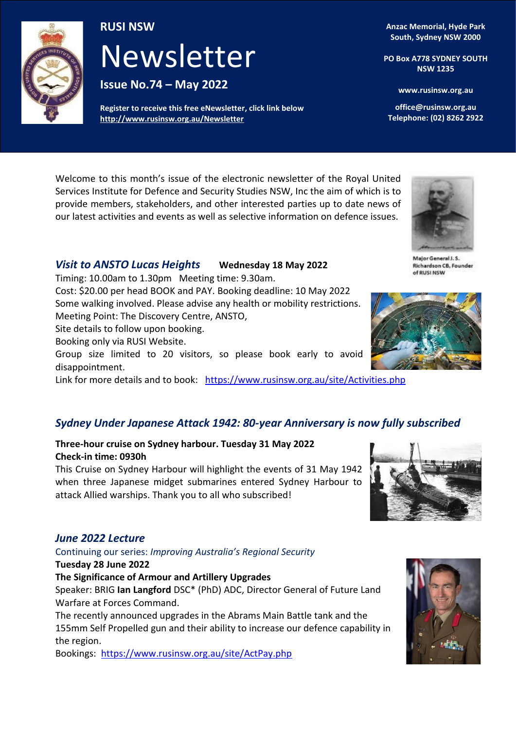

### **RUSI NSW**

# **Newsletter** Newsletter

**Issue No 10 - May 2015 Issue No.74 – May 2022** 

**Register to receive this free eNewsletter, click link below <http://www.rusinsw.org.au/Newsletter>**

**Anzac Memorial, Hyde Park South, Sydney NSW 2000**

**PO Box A778 SYDNEY SOUTH NSW 1235**

**www.rusinsw.org.au** 

**office@rusinsw.org.au Telephone: (02) 8262 2922**

Welcome to this month's issue of the electronic newsletter of the Royal United Services Institute for Defence and Security Studies NSW, Inc the aim of which is to provide members, stakeholders, and other interested parties up to date news of our latest activities and events as well as selective information on defence issues.

### *Visit to ANSTO Lucas Heights* **Wednesday 18 May 2022**

Timing: 10.00am to 1.30pm Meeting time: 9.30am.

Cost: \$20.00 per head BOOK and PAY. Booking deadline: 10 May 2022 Some walking involved. Please advise any health or mobility restrictions.

Meeting Point: The Discovery Centre, ANSTO,

Site details to follow upon booking.

Booking only via RUSI Website.

Group size limited to 20 visitors, so please book early to avoid disappointment.

Link for more details and to book: <https://www.rusinsw.org.au/site/Activities.php>

### *Sydney Under Japanese Attack 1942: 80-year Anniversary is now fully subscribed*

### **Three-hour cruise on Sydney harbour. Tuesday 31 May 2022 Check-in time: 0930h**

This Cruise on Sydney Harbour will highlight the events of 31 May 1942 when three Japanese midget submarines entered Sydney Harbour to attack Allied warships. Thank you to all who subscribed!

### *June 2022 Lecture*

Continuing our series: *Improving Australia's Regional Security*

### **Tuesday 28 June 2022**

**The Significance of Armour and Artillery Upgrades** 

Speaker: BRIG **Ian Langford** DSC\* (PhD) ADC, Director General of Future Land Warfare at Forces Command.

The recently announced upgrades in the Abrams Main Battle tank and the 155mm Self Propelled gun and their ability to increase our defence capability in the region.

Bookings: <https://www.rusinsw.org.au/site/ActPay.php>







Major General J. S. **Richardson CB, Founder** of RUSI NSW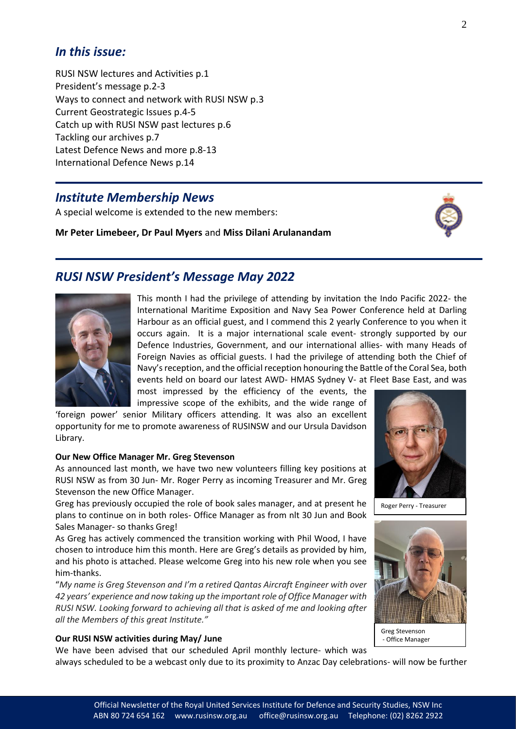### *In this issue:*

RUSI NSW lectures and Activities p.1 President's message p.2-3 Ways to connect and network with RUSI NSW p.3 Current Geostrategic Issues p.4-5 Catch up with RUSI NSW past lectures p.6 Tackling our archives p.7 Latest Defence News and more p.8-13 International Defence News p.14

### *Institute Membership News*

A special welcome is extended to the new members:

**Mr Peter Limebeer, Dr Paul Myers** and **Miss Dilani Arulanandam**



### *RUSI NSW President's Message May 2022*



This month I had the privilege of attending by invitation the Indo Pacific 2022- the International Maritime Exposition and Navy Sea Power Conference held at Darling Harbour as an official guest, and I commend this 2 yearly Conference to you when it occurs again. It is a major international scale event- strongly supported by our Defence Industries, Government, and our international allies- with many Heads of Foreign Navies as official guests. I had the privilege of attending both the Chief of Navy's reception, and the official reception honouring the Battle of the Coral Sea, both events held on board our latest AWD- HMAS Sydney V- at Fleet Base East, and was

most impressed by the efficiency of the events, the impressive scope of the exhibits, and the wide range of

'foreign power' senior Military officers attending. It was also an excellent opportunity for me to promote awareness of RUSINSW and our Ursula Davidson Library.

#### **Our New Office Manager Mr. Greg Stevenson**

As announced last month, we have two new volunteers filling key positions at RUSI NSW as from 30 Jun- Mr. Roger Perry as incoming Treasurer and Mr. Greg Stevenson the new Office Manager.

Greg has previously occupied the role of book sales manager, and at present he plans to continue on in both roles- Office Manager as from nlt 30 Jun and Book Sales Manager- so thanks Greg!

As Greg has actively commenced the transition working with Phil Wood, I have chosen to introduce him this month. Here are Greg's details as provided by him, and his photo is attached. Please welcome Greg into his new role when you see him-thanks.

"*My name is Greg Stevenson and I'm a retired Qantas Aircraft Engineer with over 42 years' experience and now taking up the important role of Office Manager with RUSI NSW. Looking forward to achieving all that is asked of me and looking after all the Members of this great Institute."*

#### **Our RUSI NSW activities during May/ June**

We have been advised that our scheduled April monthly lecture- which was



Roger Perry - Treasurer



Greg Stevenson - Office Manager

always scheduled to be a webcast only due to its proximity to Anzac Day celebrations- will now be further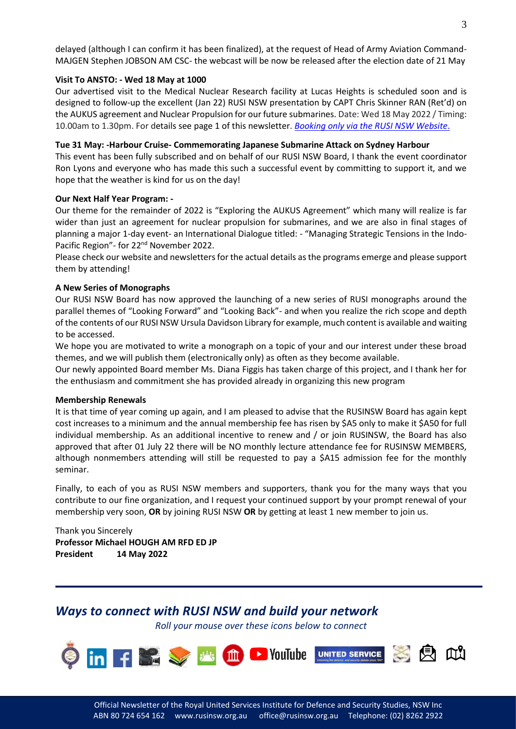delayed (although I can confirm it has been finalized), at the request of Head of Army Aviation Command-MAJGEN Stephen JOBSON AM CSC- the webcast will be now be released after the election date of 21 May

#### **Visit To ANSTO: - Wed 18 May at 1000**

Our advertised visit to the Medical Nuclear Research facility at Lucas Heights is scheduled soon and is designed to follow-up the excellent (Jan 22) RUSI NSW presentation by CAPT Chris Skinner RAN (Ret'd) on the AUKUS agreement and Nuclear Propulsion for our future submarines. Date: Wed 18 May 2022 / Timing: 10.00am to 1.30pm. For details see page 1 of this newsletter. *[Booking only via the RUSI](https://www.rusinsw.org.au/site/Activities.php) NSW Website*.

#### **Tue 31 May: -Harbour Cruise- Commemorating Japanese Submarine Attack on Sydney Harbour**

This event has been fully subscribed and on behalf of our RUSI NSW Board, I thank the event coordinator Ron Lyons and everyone who has made this such a successful event by committing to support it, and we hope that the weather is kind for us on the day!

#### **Our Next Half Year Program: -**

Our theme for the remainder of 2022 is "Exploring the AUKUS Agreement" which many will realize is far wider than just an agreement for nuclear propulsion for submarines, and we are also in final stages of planning a major 1-day event- an International Dialogue titled: - "Managing Strategic Tensions in the Indo-Pacific Region"- for 22nd November 2022.

Please check our website and newsletters for the actual details as the programs emerge and please support them by attending!

#### **A New Series of Monographs**

Our RUSI NSW Board has now approved the launching of a new series of RUSI monographs around the parallel themes of "Looking Forward" and "Looking Back"- and when you realize the rich scope and depth of the contents of our RUSI NSW Ursula Davidson Library for example, much content is available and waiting to be accessed.

We hope you are motivated to write a monograph on a topic of your and our interest under these broad themes, and we will publish them (electronically only) as often as they become available.

Our newly appointed Board member Ms. Diana Figgis has taken charge of this project, and I thank her for the enthusiasm and commitment she has provided already in organizing this new program

#### **Membership Renewals**

It is that time of year coming up again, and I am pleased to advise that the RUSINSW Board has again kept cost increases to a minimum and the annual membership fee has risen by \$A5 only to make it \$A50 for full individual membership. As an additional incentive to renew and / or join RUSINSW, the Board has also approved that after 01 July 22 there will be NO monthly lecture attendance fee for RUSINSW MEMBERS, although nonmembers attending will still be requested to pay a \$A15 admission fee for the monthly seminar.

Finally, to each of you as RUSI NSW members and supporters, thank you for the many ways that you contribute to our fine organization, and I request your continued support by your prompt renewal of your membership very soon, **OR** by joining RUSI NSW **OR** by getting at least 1 new member to join us.

Thank you Sincerely **Professor Michael HOUGH AM RFD ED JP President 14 May 2022** 

### *Ways to connect with RUSI NSW and build your network*

*Roll your mouse over these icons below to connect*

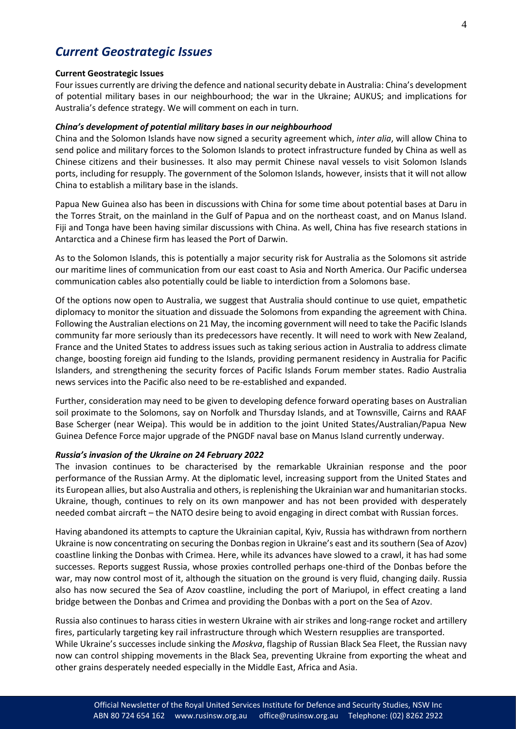### *Current Geostrategic Issues*

#### **Current Geostrategic Issues**

Four issues currently are driving the defence and national security debate in Australia: China's development of potential military bases in our neighbourhood; the war in the Ukraine; AUKUS; and implications for Australia's defence strategy. We will comment on each in turn.

#### *China's development of potential military bases in our neighbourhood*

China and the Solomon Islands have now signed a security agreement which, *inter alia*, will allow China to send police and military forces to the Solomon Islands to protect infrastructure funded by China as well as Chinese citizens and their businesses. It also may permit Chinese naval vessels to visit Solomon Islands ports, including for resupply. The government of the Solomon Islands, however, insists that it will not allow China to establish a military base in the islands.

Papua New Guinea also has been in discussions with China for some time about potential bases at Daru in the Torres Strait, on the mainland in the Gulf of Papua and on the northeast coast, and on Manus Island. Fiji and Tonga have been having similar discussions with China. As well, China has five research stations in Antarctica and a Chinese firm has leased the Port of Darwin.

As to the Solomon Islands, this is potentially a major security risk for Australia as the Solomons sit astride our maritime lines of communication from our east coast to Asia and North America. Our Pacific undersea communication cables also potentially could be liable to interdiction from a Solomons base.

Of the options now open to Australia, we suggest that Australia should continue to use quiet, empathetic diplomacy to monitor the situation and dissuade the Solomons from expanding the agreement with China. Following the Australian elections on 21 May, the incoming government will need to take the Pacific Islands community far more seriously than its predecessors have recently. It will need to work with New Zealand, France and the United States to address issues such as taking serious action in Australia to address climate change, boosting foreign aid funding to the Islands, providing permanent residency in Australia for Pacific Islanders, and strengthening the security forces of Pacific Islands Forum member states. Radio Australia news services into the Pacific also need to be re-established and expanded.

Further, consideration may need to be given to developing defence forward operating bases on Australian soil proximate to the Solomons, say on Norfolk and Thursday Islands, and at Townsville, Cairns and RAAF Base Scherger (near Weipa). This would be in addition to the joint United States/Australian/Papua New Guinea Defence Force major upgrade of the PNGDF naval base on Manus Island currently underway.

#### *Russia's invasion of the Ukraine on 24 February 2022*

The invasion continues to be characterised by the remarkable Ukrainian response and the poor performance of the Russian Army. At the diplomatic level, increasing support from the United States and its European allies, but also Australia and others, is replenishing the Ukrainian war and humanitarian stocks. Ukraine, though, continues to rely on its own manpower and has not been provided with desperately needed combat aircraft – the NATO desire being to avoid engaging in direct combat with Russian forces.

Having abandoned its attempts to capture the Ukrainian capital, Kyiv, Russia has withdrawn from northern Ukraine is now concentrating on securing the Donbas region in Ukraine's east and its southern (Sea of Azov) coastline linking the Donbas with Crimea. Here, while its advances have slowed to a crawl, it has had some successes. Reports suggest Russia, whose proxies controlled perhaps one-third of the Donbas before the war, may now control most of it, although the situation on the ground is very fluid, changing daily. Russia also has now secured the Sea of Azov coastline, including the port of Mariupol, in effect creating a land bridge between the Donbas and Crimea and providing the Donbas with a port on the Sea of Azov.

Russia also continues to harass cities in western Ukraine with air strikes and long-range rocket and artillery fires, particularly targeting key rail infrastructure through which Western resupplies are transported. While Ukraine's successes include sinking the *Moskva*, flagship of Russian Black Sea Fleet, the Russian navy now can control shipping movements in the Black Sea, preventing Ukraine from exporting the wheat and other grains desperately needed especially in the Middle East, Africa and Asia.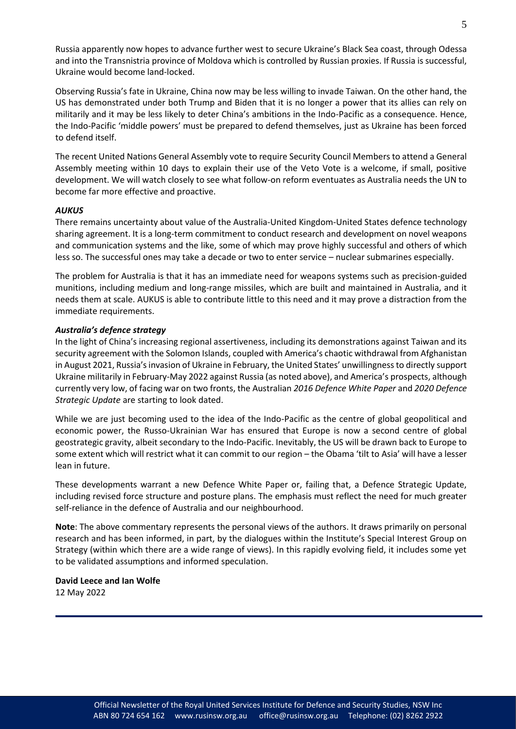Russia apparently now hopes to advance further west to secure Ukraine's Black Sea coast, through Odessa and into the Transnistria province of Moldova which is controlled by Russian proxies. If Russia is successful, Ukraine would become land-locked.

Observing Russia's fate in Ukraine, China now may be less willing to invade Taiwan. On the other hand, the US has demonstrated under both Trump and Biden that it is no longer a power that its allies can rely on militarily and it may be less likely to deter China's ambitions in the Indo-Pacific as a consequence. Hence, the Indo-Pacific 'middle powers' must be prepared to defend themselves, just as Ukraine has been forced to defend itself.

The recent United Nations General Assembly vote to require Security Council Members to attend a General Assembly meeting within 10 days to explain their use of the Veto Vote is a welcome, if small, positive development. We will watch closely to see what follow-on reform eventuates as Australia needs the UN to become far more effective and proactive.

#### *AUKUS*

There remains uncertainty about value of the Australia-United Kingdom-United States defence technology sharing agreement. It is a long-term commitment to conduct research and development on novel weapons and communication systems and the like, some of which may prove highly successful and others of which less so. The successful ones may take a decade or two to enter service – nuclear submarines especially.

The problem for Australia is that it has an immediate need for weapons systems such as precision-guided munitions, including medium and long-range missiles, which are built and maintained in Australia, and it needs them at scale. AUKUS is able to contribute little to this need and it may prove a distraction from the immediate requirements.

#### *Australia's defence strategy*

In the light of China's increasing regional assertiveness, including its demonstrations against Taiwan and its security agreement with the Solomon Islands, coupled with America's chaotic withdrawal from Afghanistan in August 2021, Russia's invasion of Ukraine in February, the United States' unwillingness to directly support Ukraine militarily in February-May 2022 against Russia (as noted above), and America's prospects, although currently very low, of facing war on two fronts, the Australian *2016 Defence White Paper* and *2020 Defence Strategic Update* are starting to look dated.

While we are just becoming used to the idea of the Indo-Pacific as the centre of global geopolitical and economic power, the Russo-Ukrainian War has ensured that Europe is now a second centre of global geostrategic gravity, albeit secondary to the Indo-Pacific. Inevitably, the US will be drawn back to Europe to some extent which will restrict what it can commit to our region – the Obama 'tilt to Asia' will have a lesser lean in future.

These developments warrant a new Defence White Paper or, failing that, a Defence Strategic Update, including revised force structure and posture plans. The emphasis must reflect the need for much greater self-reliance in the defence of Australia and our neighbourhood.

**Note**: The above commentary represents the personal views of the authors. It draws primarily on personal research and has been informed, in part, by the dialogues within the Institute's Special Interest Group on Strategy (within which there are a wide range of views). In this rapidly evolving field, it includes some yet to be validated assumptions and informed speculation.

#### **David Leece and Ian Wolfe**

12 May 2022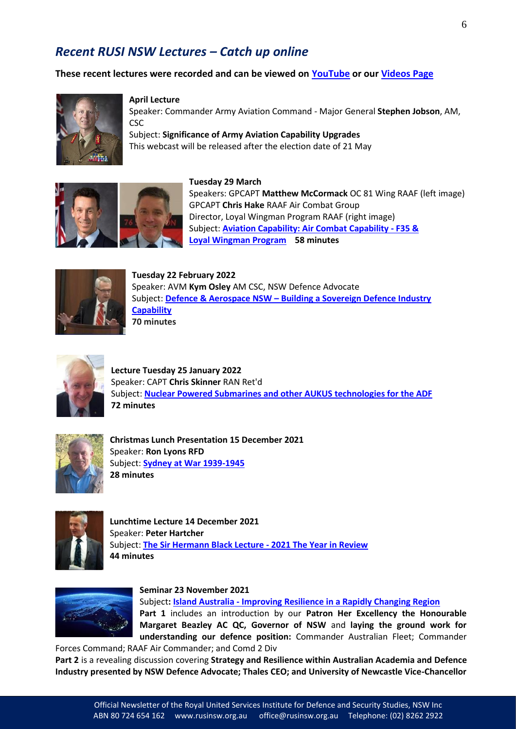### *Recent RUSI NSW Lectures – Catch up online*

**These recent lectures were recorded and can be viewed on [YouTube](https://www.youtube.com/channel/UCQ9ghBL_V9X5Cp4DLSTMfXw/videos) or our [Videos Page](http://www.rusinsw.org.au/site/Videos.php)** 



#### **April Lecture**

Speaker: Commander Army Aviation Command - Major General **Stephen Jobson**, AM, **CSC** 

Subject: **Significance of Army Aviation Capability Upgrades** This webcast will be released after the election date of 21 May

**Tuesday 29 March** 



Speakers: GPCAPT **Matthew McCormack** OC 81 Wing RAAF (left image) GPCAPT **Chris Hake** RAAF Air Combat Group Director, Loyal Wingman Program RAAF (right image) Subject: **[Aviation Capability: Air Combat](https://www.youtube.com/watch?v=jE8s9NoU5sk) Capability - F35 & Loyal [Wingman Program](https://www.youtube.com/watch?v=jE8s9NoU5sk) 58 minutes**



**Tuesday 22 February 2022**  Speaker: AVM **Kym Osley** AM CSC, NSW Defence Advocate Subject: **Defence & Aerospace NSW – [Building a Sovereign Defence Industry](https://www.youtube.com/watch?v=fi6KGizqQQc&t=39s)  [Capability](https://www.youtube.com/watch?v=fi6KGizqQQc&t=39s) 70 minutes**



**Lecture Tuesday 25 January 2022** Speaker: CAPT **Chris Skinner** RAN Ret'd Subject: **[Nuclear Powered Submarines and other AUKUS technologies for the ADF](https://www.rusinsw.org.au/site/VideoTheatre51.php) 72 minutes**



**Christmas Lunch Presentation 15 December 2021** Speaker: **Ron Lyons RFD** Subject: **[Sydney at War 1939-1945](https://www.rusinsw.org.au/site/VideoTheatre50.php) 28 minutes** 



**Lunchtime Lecture 14 December 2021** Speaker: **Peter Hartcher** Subject: **The Sir Hermann Black Lecture - [2021 The Year in Review](https://www.rusinsw.org.au/site/VideoTheatre49.php) 44 minutes** 



**Seminar 23 November 2021** 

Subject**: Island Australia - [Improving Resilience in a Rapidly Changing Region](https://www.rusinsw.org.au/site/VideoTheatre48.php) Part 1** includes an introduction by our **Patron Her Excellency the Honourable Margaret Beazley AC QC, Governor of NSW** and **laying the ground work for understanding our defence position:** Commander Australian Fleet; Commander

Forces Command; RAAF Air Commander; and Comd 2 Div **Part 2** is a revealing discussion covering **Strategy and Resilience within Australian Academia and Defence Industry presented by NSW Defence Advocate; Thales CEO; and University of Newcastle Vice-Chancellor**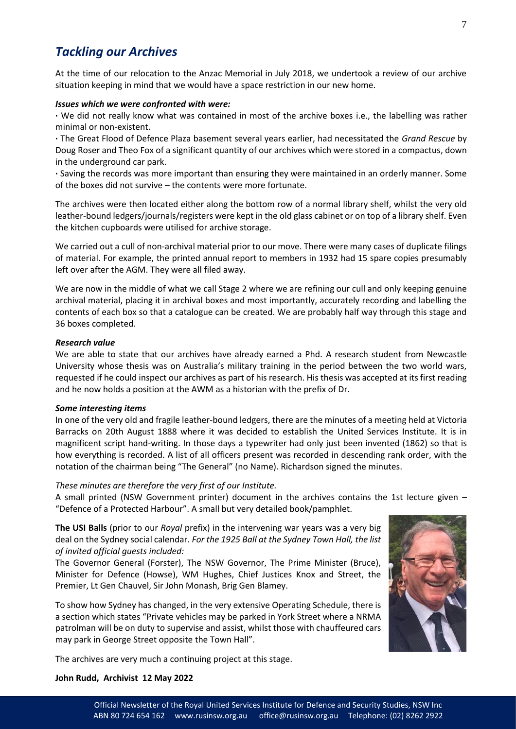### *Tackling our Archives*

At the time of our relocation to the Anzac Memorial in July 2018, we undertook a review of our archive situation keeping in mind that we would have a space restriction in our new home.

#### *Issues which we were confronted with were:*

**·** We did not really know what was contained in most of the archive boxes i.e., the labelling was rather minimal or non-existent.

**·** The Great Flood of Defence Plaza basement several years earlier, had necessitated the *Grand Rescue* by Doug Roser and Theo Fox of a significant quantity of our archives which were stored in a compactus, down in the underground car park.

**·** Saving the records was more important than ensuring they were maintained in an orderly manner. Some of the boxes did not survive – the contents were more fortunate.

The archives were then located either along the bottom row of a normal library shelf, whilst the very old leather-bound ledgers/journals/registers were kept in the old glass cabinet or on top of a library shelf. Even the kitchen cupboards were utilised for archive storage.

We carried out a cull of non-archival material prior to our move. There were many cases of duplicate filings of material. For example, the printed annual report to members in 1932 had 15 spare copies presumably left over after the AGM. They were all filed away.

We are now in the middle of what we call Stage 2 where we are refining our cull and only keeping genuine archival material, placing it in archival boxes and most importantly, accurately recording and labelling the contents of each box so that a catalogue can be created. We are probably half way through this stage and 36 boxes completed.

#### *Research value*

We are able to state that our archives have already earned a Phd. A research student from Newcastle University whose thesis was on Australia's military training in the period between the two world wars, requested if he could inspect our archives as part of his research. His thesis was accepted at its first reading and he now holds a position at the AWM as a historian with the prefix of Dr.

#### *Some interesting items*

In one of the very old and fragile leather-bound ledgers, there are the minutes of a meeting held at Victoria Barracks on 20th August 1888 where it was decided to establish the United Services Institute. It is in magnificent script hand-writing. In those days a typewriter had only just been invented (1862) so that is how everything is recorded. A list of all officers present was recorded in descending rank order, with the notation of the chairman being "The General" (no Name). Richardson signed the minutes.

#### *These minutes are therefore the very first of our Institute.*

A small printed (NSW Government printer) document in the archives contains the 1st lecture given – "Defence of a Protected Harbour". A small but very detailed book/pamphlet.

**The USI Balls** (prior to our *Royal* prefix) in the intervening war years was a very big deal on the Sydney social calendar. *For the 1925 Ball at the Sydney Town Hall, the list of invited official guests included:*

The Governor General (Forster), The NSW Governor, The Prime Minister (Bruce), Minister for Defence (Howse), WM Hughes, Chief Justices Knox and Street, the Premier, Lt Gen Chauvel, Sir John Monash, Brig Gen Blamey.

To show how Sydney has changed, in the very extensive Operating Schedule, there is a section which states "Private vehicles may be parked in York Street where a NRMA patrolman will be on duty to supervise and assist, whilst those with chauffeured cars may park in George Street opposite the Town Hall".



#### **John Rudd, Archivist 12 May 2022**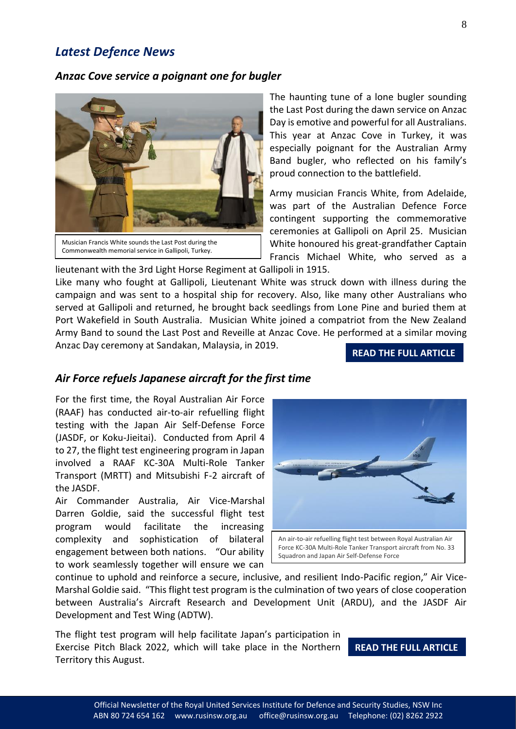### *Latest Defence News*

#### *Anzac Cove service a poignant one for bugler*



The haunting tune of a lone bugler sounding the Last Post during the dawn service on Anzac Day is emotive and powerful for all Australians. This year at Anzac Cove in Turkey, it was especially poignant for the Australian Army Band bugler, who reflected on his family's proud connection to the battlefield.

Army musician Francis White, from Adelaide, was part of the Australian Defence Force contingent supporting the commemorative ceremonies at Gallipoli on April 25. Musician White honoured his great-grandfather Captain Francis Michael White, who served as a

lieutenant with the 3rd Light Horse Regiment at Gallipoli in 1915.

Like many who fought at Gallipoli, Lieutenant White was struck down with illness during the campaign and was sent to a hospital ship for recovery. Also, like many other Australians who served at Gallipoli and returned, he brought back seedlings from Lone Pine and buried them at Port Wakefield in South Australia. Musician White joined a compatriot from the New Zealand Army Band to sound the Last Post and Reveille at Anzac Cove. He performed at a similar moving Anzac Day ceremony at Sandakan, Malaysia, in 2019.

#### **[READ THE FULL ARTICLE](https://news.defence.gov.au/service/anzac-cove-service-poignant-one-bugler)**

#### *Air Force refuels Japanese aircraft for the first time*

For the first time, the Royal Australian Air Force (RAAF) has conducted air-to-air refuelling flight testing with the Japan Air Self-Defense Force (JASDF, or Koku-Jieitai). Conducted from April 4 to 27, the flight test engineering program in Japan involved a RAAF KC-30A Multi-Role Tanker Transport (MRTT) and Mitsubishi F-2 aircraft of the JASDF.

Air Commander Australia, Air Vice-Marshal Darren Goldie, said the successful flight test program would facilitate the increasing complexity and sophistication of bilateral engagement between both nations. "Our ability to work seamlessly together will ensure we can



continue to uphold and reinforce a secure, inclusive, and resilient Indo-Pacific region," Air Vice-Marshal Goldie said. "This flight test program is the culmination of two years of close cooperation between Australia's Aircraft Research and Development Unit (ARDU), and the JASDF Air Development and Test Wing (ADTW).

The flight test program will help facilitate Japan's participation in Exercise Pitch Black 2022, which will take place in the Northern Territory this August.

#### **[READ THE FULL ARTICLE](https://news.defence.gov.au/international/air-force-refuels-japanese-aircraft-first-time)**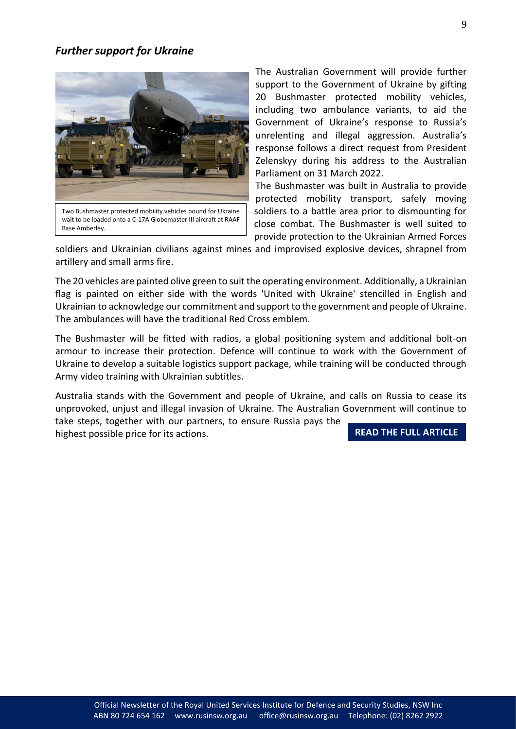#### *Further support for Ukraine*



wait to be loaded onto a C-17A Globemaster III aircraft at RAAF Base Amberley.

The Australian Government will provide further support to the Government of Ukraine by gifting 20 Bushmaster protected mobility vehicles, including two ambulance variants, to aid the Government of Ukraine's response to Russia's unrelenting and illegal aggression. Australia's response follows a direct request from President Zelenskyy during his address to the Australian Parliament on 31 March 2022.

The Bushmaster was built in Australia to provide protected mobility transport, safely moving soldiers to a battle area prior to dismounting for close combat. The Bushmaster is well suited to provide protection to the Ukrainian Armed Forces

soldiers and Ukrainian civilians against mines and improvised explosive devices, shrapnel from artillery and small arms fire.

The 20 vehicles are painted olive green to suit the operating environment. Additionally, a Ukrainian flag is painted on either side with the words 'United with Ukraine' stencilled in English and Ukrainian to acknowledge our commitment and support to the government and people of Ukraine. The ambulances will have the traditional Red Cross emblem.

The Bushmaster will be fitted with radios, a global positioning system and additional bolt-on armour to increase their protection. Defence will continue to work with the Government of Ukraine to develop a suitable logistics support package, while training will be conducted through Army video training with Ukrainian subtitles.

Australia stands with the Government and people of Ukraine, and calls on Russia to cease its unprovoked, unjust and illegal invasion of Ukraine. The Australian Government will continue to take steps, together with our partners, to ensure Russia pays the highest possible price for its actions. **[READ THE FULL ARTICLE](https://news.defence.gov.au/international/further-support-ukraine)**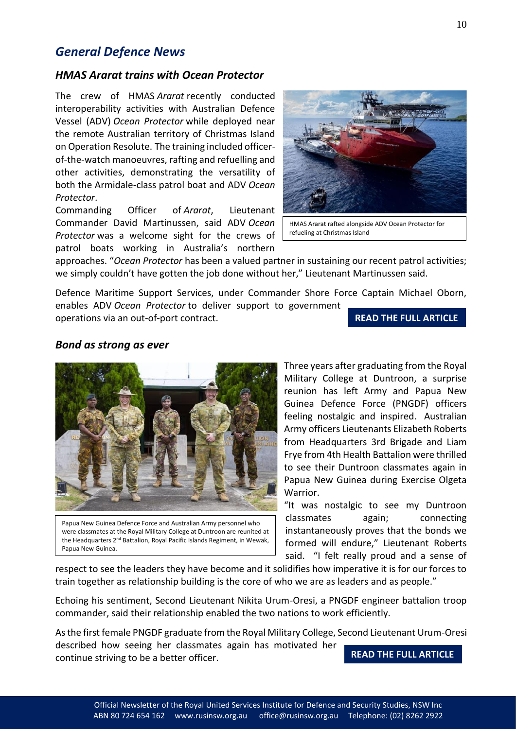### *General Defence News*

#### *HMAS Ararat trains with Ocean Protector*

The crew of HMAS *Ararat* recently conducted interoperability activities with Australian Defence Vessel (ADV) *Ocean Protector* while deployed near the remote Australian territory of Christmas Island on Operation Resolute. The training included officerof-the-watch manoeuvres, rafting and refuelling and other activities, demonstrating the versatility of both the Armidale-class patrol boat and ADV *Ocean Protector*.

Commanding Officer of *Ararat*, Lieutenant Commander David Martinussen, said ADV *Ocean Protector* was a welcome sight for the crews of patrol boats working in Australia's northern



HMAS Ararat rafted alongside ADV Ocean Protector for refueling at Christmas Island

approaches. "*Ocean Protector* has been a valued partner in sustaining our recent patrol activities; we simply couldn't have gotten the job done without her," Lieutenant Martinussen said.

Defence Maritime Support Services, under Commander Shore Force Captain Michael Oborn, enables ADV *Ocean Protector* to deliver support to government

operations via an out-of-port contract.

### **[READ THE FULL ARTICLE](https://news.defence.gov.au/capability/hmas-ararat-trains-ocean-protector)**

#### *Bond as strong as ever*



Papua New Guinea Defence Force and Australian Army personnel who were classmates at the Royal Military College at Duntroon are reunited at the Headquarters 2<sup>nd</sup> Battalion, Royal Pacific Islands Regiment, in Wewak, Papua New Guinea.

Three years after graduating from the Royal Military College at Duntroon, a surprise reunion has left Army and Papua New Guinea Defence Force (PNGDF) officers feeling nostalgic and inspired. Australian Army officers Lieutenants Elizabeth Roberts from Headquarters 3rd Brigade and Liam Frye from 4th Health Battalion were thrilled to see their Duntroon classmates again in Papua New Guinea during Exercise Olgeta Warrior.

"It was nostalgic to see my Duntroon classmates again; connecting instantaneously proves that the bonds we formed will endure," Lieutenant Roberts said. "I felt really proud and a sense of

respect to see the leaders they have become and it solidifies how imperative it is for our forces to train together as relationship building is the core of who we are as leaders and as people."

Echoing his sentiment, Second Lieutenant Nikita Urum-Oresi, a PNGDF engineer battalion troop commander, said their relationship enabled the two nations to work efficiently.

As the first female PNGDF graduate from the Royal Military College, Second Lieutenant Urum-Oresi described how seeing her classmates again has motivated her continue striving to be a better officer. **[READ THE FULL ARTICLE](https://news.defence.gov.au/international/bond-strong-ever)**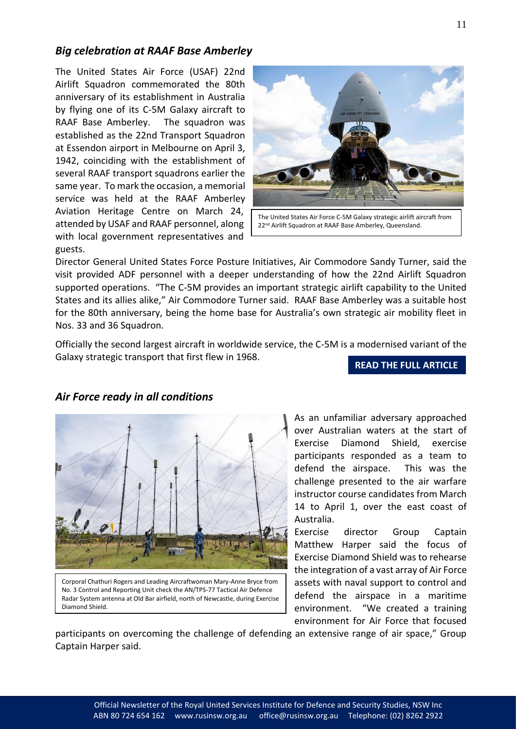### *Big celebration at RAAF Base Amberley*

The United States Air Force (USAF) 22nd Airlift Squadron commemorated the 80th anniversary of its establishment in Australia by flying one of its C-5M Galaxy aircraft to RAAF Base Amberley. The squadron was established as the 22nd Transport Squadron at Essendon airport in Melbourne on April 3, 1942, coinciding with the establishment of several RAAF transport squadrons earlier the same year. To mark the occasion, a memorial service was held at the RAAF Amberley Aviation Heritage Centre on March 24, attended by USAF and RAAF personnel, along with local government representatives and guests.



22<sup>nd</sup> Airlift Squadron at RAAF Base Amberley, Queensland.

Director General United States Force Posture Initiatives, Air Commodore Sandy Turner, said the visit provided ADF personnel with a deeper understanding of how the 22nd Airlift Squadron supported operations. "The C-5M provides an important strategic airlift capability to the United States and its allies alike," Air Commodore Turner said. RAAF Base Amberley was a suitable host for the 80th anniversary, being the home base for Australia's own strategic air mobility fleet in Nos. 33 and 36 Squadron.

Officially the second largest aircraft in worldwide service, the C-5M is a modernised variant of the Galaxy strategic transport that first flew in 1968.

**[READ THE FULL ARTICLE](https://news.defence.gov.au/international/big-celebration-raaf-base-amberley)** 



### *Air Force ready in all conditions*

Corporal Chathuri Rogers and Leading Aircraftwoman Mary-Anne Bryce from No. 3 Control and Reporting Unit check the AN/TPS-77 Tactical Air Defence Radar System antenna at Old Bar airfield, north of Newcastle, during Exercise Diamond Shield.

As an unfamiliar adversary approached over Australian waters at the start of Exercise Diamond Shield, exercise participants responded as a team to defend the airspace. This was the challenge presented to the air warfare instructor course candidates from March 14 to April 1, over the east coast of Australia.

Exercise director Group Captain Matthew Harper said the focus of Exercise Diamond Shield was to rehearse the integration of a vast array of Air Force assets with naval support to control and defend the airspace in a maritime environment. "We created a training environment for Air Force that focused

participants on overcoming the challenge of defending an extensive range of air space," Group Captain Harper said.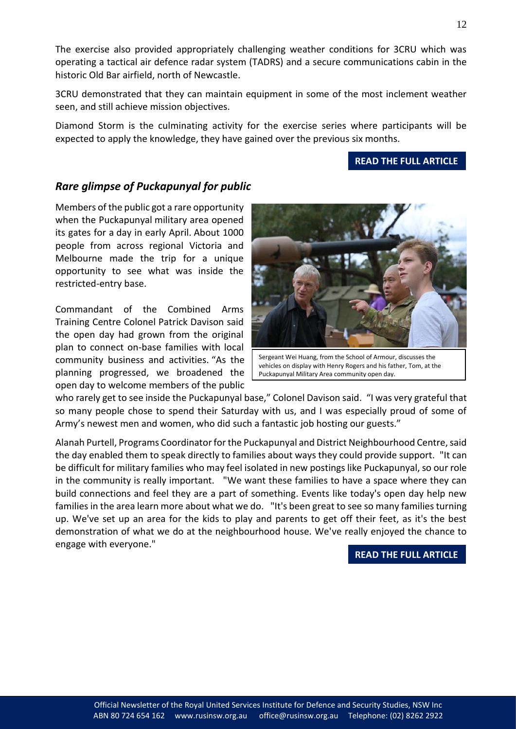The exercise also provided appropriately challenging weather conditions for 3CRU which was operating a tactical air defence radar system (TADRS) and a secure communications cabin in the historic Old Bar airfield, north of Newcastle.

3CRU demonstrated that they can maintain equipment in some of the most inclement weather seen, and still achieve mission objectives.

Diamond Storm is the culminating activity for the exercise series where participants will be expected to apply the knowledge, they have gained over the previous six months.

### **[READ THE FULL ARTICLE](https://news.defence.gov.au/capability/air-force-ready-all-conditions)**

### *Rare glimpse of Puckapunyal for public*

Members of the public got a rare opportunity when the Puckapunyal military area opened its gates for a day in early April. About 1000 people from across regional Victoria and Melbourne made the trip for a unique opportunity to see what was inside the restricted-entry base.

Commandant of the Combined Arms Training Centre Colonel Patrick Davison said the open day had grown from the original plan to connect on-base families with local community business and activities. "As the planning progressed, we broadened the open day to welcome members of the public

who rarely get to see inside the Puckapunyal base," Colonel Davison said. "I was very grateful that so many people chose to spend their Saturday with us, and I was especially proud of some of Army's newest men and women, who did such a fantastic job hosting our guests."

Alanah Purtell, Programs Coordinator for the Puckapunyal and District Neighbourhood Centre, said the day enabled them to speak directly to families about ways they could provide support. "It can be difficult for military families who may feel isolated in new postings like Puckapunyal, so our role in the community is really important. "We want these families to have a space where they can build connections and feel they are a part of something. Events like today's open day help new families in the area learn more about what we do. "It's been great to see so many families turning up. We've set up an area for the kids to play and parents to get off their feet, as it's the best demonstration of what we do at the neighbourhood house. We've really enjoyed the chance to engage with everyone."

**[READ THE FULL ARTICLE](https://news.defence.gov.au/people/rare-glimpse-puckapunyal-public)** 



Sergeant Wei Huang, from the School of Armour, discusses the vehicles on display with Henry Rogers and his father, Tom, at the

Puckapunyal Military Area community open day.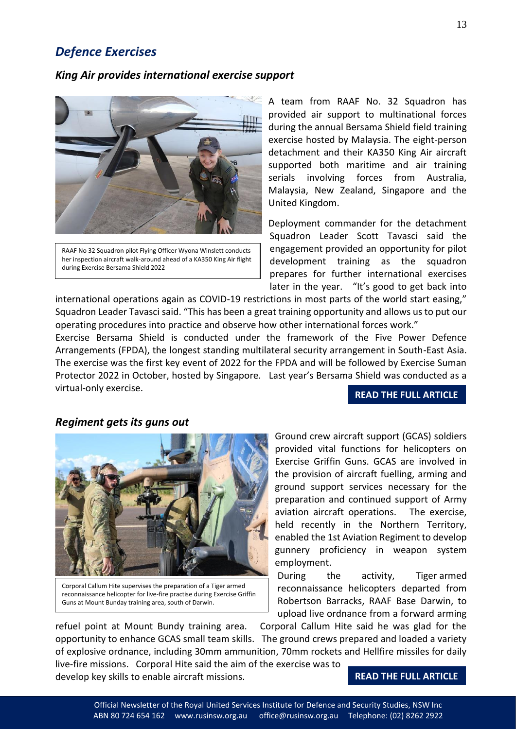### *Defence Exercises*

#### *King Air provides international exercise support*



RAAF No 32 Squadron pilot Flying Officer Wyona Winslett conducts her inspection aircraft walk-around ahead of a KA350 King Air flight during Exercise Bersama Shield 2022

A team from RAAF No. 32 Squadron has provided air support to multinational forces during the annual Bersama Shield field training exercise hosted by Malaysia. The eight-person detachment and their KA350 King Air aircraft supported both maritime and air training serials involving forces from Australia, Malaysia, New Zealand, Singapore and the United Kingdom.

Deployment commander for the detachment Squadron Leader Scott Tavasci said the engagement provided an opportunity for pilot development training as the squadron prepares for further international exercises later in the year. "It's good to get back into

international operations again as COVID-19 restrictions in most parts of the world start easing," Squadron Leader Tavasci said. "This has been a great training opportunity and allows us to put our operating procedures into practice and observe how other international forces work."

Exercise Bersama Shield is conducted under the framework of the Five Power Defence Arrangements (FPDA), the longest standing multilateral security arrangement in South-East Asia. The exercise was the first key event of 2022 for the FPDA and will be followed by Exercise Suman Protector 2022 in October, hosted by Singapore. Last year's Bersama Shield was conducted as a virtual-only exercise.

#### **[READ THE FULL ARTICLE](https://news.defence.gov.au/international/king-air-provides-international-exercise-support)**

#### *Regiment gets its guns out*

![](_page_12_Picture_10.jpeg)

Corporal Callum Hite supervises the preparation of a Tiger armed reconnaissance helicopter for live-fire practise during Exercise Griffin Guns at Mount Bunday training area, south of Darwin.

Ground crew aircraft support (GCAS) soldiers provided vital functions for helicopters on Exercise Griffin Guns. GCAS are involved in the provision of aircraft fuelling, arming and ground support services necessary for the preparation and continued support of Army aviation aircraft operations. The exercise, held recently in the Northern Territory, enabled the 1st Aviation Regiment to develop gunnery proficiency in weapon system employment.

During the activity, Tiger armed reconnaissance helicopters departed from Robertson Barracks, RAAF Base Darwin, to upload live ordnance from a forward arming

refuel point at Mount Bundy training area. Corporal Callum Hite said he was glad for the opportunity to enhance GCAS small team skills. The ground crews prepared and loaded a variety of explosive ordnance, including 30mm ammunition, 70mm rockets and Hellfire missiles for daily live-fire missions. Corporal Hite said the aim of the exercise was to develop key skills to enable aircraft missions.

#### **[READ THE FULL ARTICLE](https://news.defence.gov.au/capability/regiment-gets-its-guns-out)**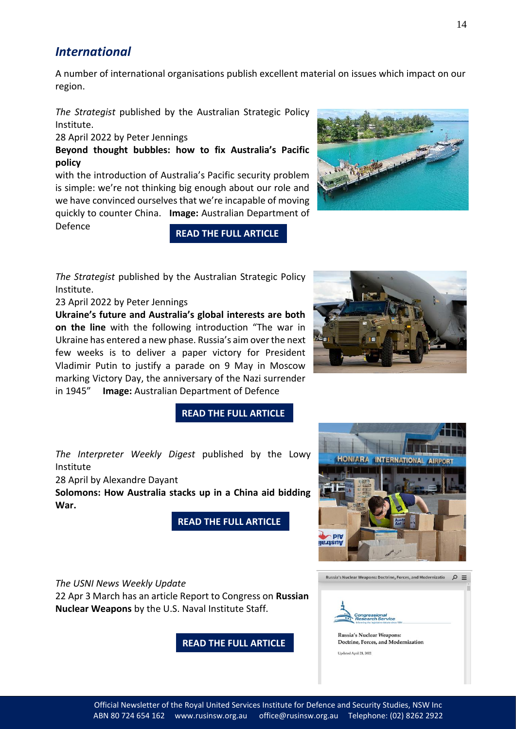### *International*

A number of international organisations publish excellent material on issues which impact on our region.

*The Strategist* published by the Australian Strategic Policy Institute.

28 April 2022 by Peter Jennings

**Beyond thought bubbles: how to fix Australia's Pacific policy**

with the introduction of Australia's Pacific security problem is simple: we're not thinking big enough about our role and we have convinced ourselves that we're incapable of moving quickly to counter China. **Image:** Australian Department of

Defence

*The Strategist* published by the Australian Strategic Policy Institute.

23 April 2022 by Peter Jennings

**Ukraine's future and Australia's global interests are both on the line** with the following introduction "The war in Ukraine has entered a new phase. Russia's aim over the next few weeks is to deliver a paper victory for President Vladimir Putin to justify a parade on 9 May in Moscow marking Victory Day, the anniversary of the Nazi surrender in 1945" **Image:** Australian Department of Defence

![](_page_13_Picture_10.jpeg)

![](_page_13_Picture_11.jpeg)

#### **[READ THE FULL ARTICLE](https://www.aspistrategist.org.au/ukraines-future-and-australias-global-interests-are-both-on-the-line/)**

**[READ THE FULL ARTICLE](https://www.aspistrategist.org.au/beyond-thought-bubbles-how-to-fix-australias-pacific-policy/)** 

*The Interpreter Weekly Digest* published by the Lowy Institute

28 April by Alexandre Dayant

**Solomons: How Australia stacks up in a China aid bidding War.**

**[READ THE FULL ARTICLE](https://www.lowyinstitute.org/the-interpreter/solomons-how-australia-stacks-up-in-china-aid-bidding-war)** 

*The USNI News Weekly Update*

22 Apr 3 March has an article Report to Congress on **Russian Nuclear Weapons** by the U.S. Naval Institute Staff.

**[READ THE FULL ARTICLE](https://news.usni.org/2022/04/22/report-to-congress-on-russian-nuclear-weapons-5?mc_cid=1a3dc0a75d&mc_eid=f2a93546e5)** 

![](_page_13_Picture_20.jpeg)

Russia's Nuclear Weapons: Doctrine, Forces, and Modernizatio  $\varphi \equiv$ 

## ngression<br>:search Se

**Russia's Nuclear Weapons:** Doctrine, Forces, and Modernization Updated April 21, 2022